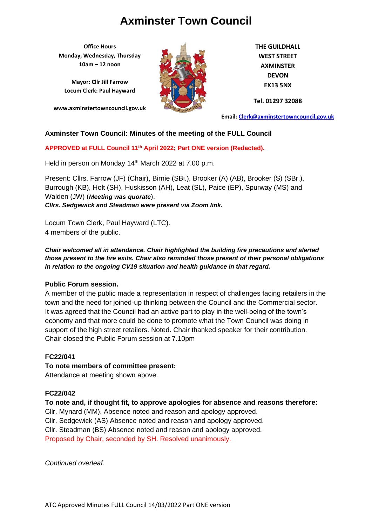**Office Hours Monday, Wednesday, Thursday 10am – 12 noon**

**Mayor: Cllr Jill Farrow Locum Clerk: Paul Hayward**

**www.axminstertowncouncil.gov.uk**



**THE GUILDHALL WEST STREET AXMINSTER DEVON EX13 5NX**

**Tel. 01297 32088**

**Email: [Clerk@axminstertowncouncil.gov.uk](file://///axm-svr-1/company/Templates/Clerk@axminstertowncouncil.gov.uk)**

## **Axminster Town Council: Minutes of the meeting of the FULL Council**

**APPROVED at FULL Council 11th April 2022; Part ONE version (Redacted).**

Held in person on Monday 14<sup>th</sup> March 2022 at 7.00 p.m.

Present: Cllrs. Farrow (JF) (Chair), Birnie (SBi.), Brooker (A) (AB), Brooker (S) (SBr.), Burrough (KB), Holt (SH), Huskisson (AH), Leat (SL), Paice (EP), Spurway (MS) and Walden (JW) (*Meeting was quorate*). *Cllrs. Sedgewick and Steadman were present via Zoom link.*

Locum Town Clerk, Paul Hayward (LTC). 4 members of the public.

*Chair welcomed all in attendance. Chair highlighted the building fire precautions and alerted those present to the fire exits. Chair also reminded those present of their personal obligations in relation to the ongoing CV19 situation and health guidance in that regard.*

#### **Public Forum session.**

A member of the public made a representation in respect of challenges facing retailers in the town and the need for joined-up thinking between the Council and the Commercial sector. It was agreed that the Council had an active part to play in the well-being of the town's economy and that more could be done to promote what the Town Council was doing in support of the high street retailers. Noted. Chair thanked speaker for their contribution. Chair closed the Public Forum session at 7.10pm

#### **FC22/041**

**To note members of committee present:** Attendance at meeting shown above.

## **FC22/042**

**To note and, if thought fit, to approve apologies for absence and reasons therefore:** Cllr. Mynard (MM). Absence noted and reason and apology approved. Cllr. Sedgewick (AS) Absence noted and reason and apology approved. Cllr. Steadman (BS) Absence noted and reason and apology approved. Proposed by Chair, seconded by SH. Resolved unanimously.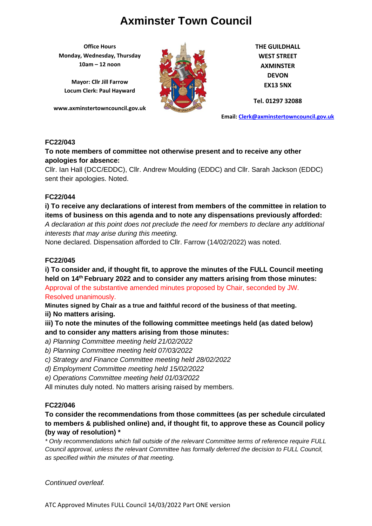**Office Hours Monday, Wednesday, Thursday 10am – 12 noon**

**Mayor: Cllr Jill Farrow Locum Clerk: Paul Hayward**

**www.axminstertowncouncil.gov.uk**



**THE GUILDHALL WEST STREET AXMINSTER DEVON EX13 5NX**

**Tel. 01297 32088**

**Email: [Clerk@axminstertowncouncil.gov.uk](file://///axm-svr-1/company/Templates/Clerk@axminstertowncouncil.gov.uk)**

### **FC22/043**

**To note members of committee not otherwise present and to receive any other apologies for absence:**

Cllr. Ian Hall (DCC/EDDC), Cllr. Andrew Moulding (EDDC) and Cllr. Sarah Jackson (EDDC) sent their apologies. Noted.

#### **FC22/044**

**i) To receive any declarations of interest from members of the committee in relation to items of business on this agenda and to note any dispensations previously afforded:** 

*A declaration at this point does not preclude the need for members to declare any additional interests that may arise during this meeting.*

None declared. Dispensation afforded to Cllr. Farrow (14/02/2022) was noted.

## **FC22/045**

**i) To consider and, if thought fit, to approve the minutes of the FULL Council meeting held on 14 th February 2022 and to consider any matters arising from those minutes:** Approval of the substantive amended minutes proposed by Chair, seconded by JW. Resolved unanimously.

**Minutes signed by Chair as a true and faithful record of the business of that meeting. ii) No matters arising.**

**iii) To note the minutes of the following committee meetings held (as dated below) and to consider any matters arising from those minutes:**

- *a) Planning Committee meeting held 21/02/2022*
- *b) Planning Committee meeting held 07/03/2022*

*c) Strategy and Finance Committee meeting held 28/02/2022*

*d) Employment Committee meeting held 15/02/2022*

*e) Operations Committee meeting held 01/03/2022*

All minutes duly noted. No matters arising raised by members.

## **FC22/046**

# **To consider the recommendations from those committees (as per schedule circulated to members & published online) and, if thought fit, to approve these as Council policy (by way of resolution) \***

*\* Only recommendations which fall outside of the relevant Committee terms of reference require FULL Council approval, unless the relevant Committee has formally deferred the decision to FULL Council, as specified within the minutes of that meeting.*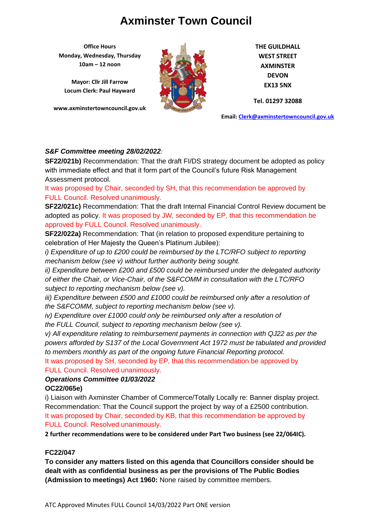**Office Hours Monday, Wednesday, Thursday 10am – 12 noon**

**Mayor: Cllr Jill Farrow Locum Clerk: Paul Hayward**

**www.axminstertowncouncil.gov.uk**



**THE GUILDHALL WEST STREET AXMINSTER DEVON EX13 5NX**

**Tel. 01297 32088**

**Email: [Clerk@axminstertowncouncil.gov.uk](file://///axm-svr-1/company/Templates/Clerk@axminstertowncouncil.gov.uk)**

### *S&F Committee meeting 28/02/2022:*

with immediate effect and that it form part of the Council's future Risk Management<br>. **SF22/021b)** Recommendation: That the draft FI/DS strategy document be adopted as policy Assessment protocol.

It was proposed by Chair, seconded by SH, that this recommendation be approved by FULL Council. Resolved unanimously.

**SF22/021c)** Recommendation: That the draft Internal Financial Control Review document be adopted as policy. It was proposed by JW, seconded by EP, that this recommendation be approved by FULL Council. Resolved unanimously.

**SF22/022a)** Recommendation: That (in relation to proposed expenditure pertaining to celebration of Her Majesty the Queen's Platinum Jubilee):

*i)* Expenditure of up to £200 could be reimbursed by the LTC/RFO subject to reporting *mechanism below (see v) without further authority being sought.*

*ii) Expenditure between £200 and £500 could be reimbursed under the delegated authority of either the Chair, or Vice-Chair, of the S&FCOMM in consultation with the LTC/RFO subject to reporting mechanism below (see v).*

*iii) Expenditure between £500 and £1000 could be reimbursed only after a resolution of the S&FCOMM, subject to reporting mechanism below (see v).*

*iv)* Expenditure over £1000 could only be reimbursed only after a resolution of *the FULL Council, subject to reporting mechanism below (see v).*

*v) All expenditure relating to reimbursement payments in connection with QJ22 as per the powers afforded by S137 of the Local Government Act 1972 must be tabulated and provided to members monthly as part of the ongoing future Financial Reporting protocol.*

It was proposed by SH, seconded by EP, that this recommendation be approved by FULL Council. Resolved unanimously.

## *Operations Committee 01/03/2022* **OC22/065e)**

i) Liaison with Axminster Chamber of Commerce/Totally Locally re: Banner display project. Recommendation: That the Council support the project by way of a £2500 contribution. It was proposed by Chair, seconded by KB, that this recommendation be approved by FULL Council. Resolved unanimously.

**2 further recommendations were to be considered under Part Two business (see 22/064IC).**

## **FC22/047**

**To consider any matters listed on this agenda that Councillors consider should be dealt with as confidential business as per the provisions of The Public Bodies (Admission to meetings) Act 1960:** None raised by committee members.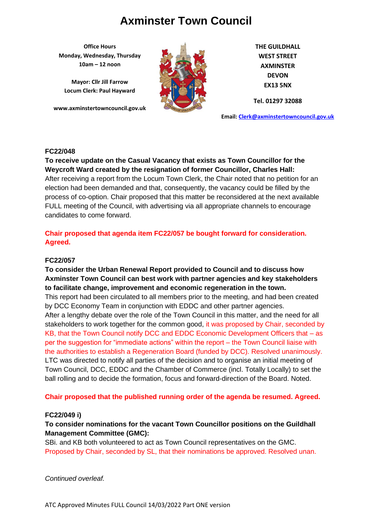**Office Hours Monday, Wednesday, Thursday 10am – 12 noon**

**Mayor: Cllr Jill Farrow Locum Clerk: Paul Hayward**

**www.axminstertowncouncil.gov.uk**



**THE GUILDHALL WEST STREET AXMINSTER DEVON EX13 5NX**

**Tel. 01297 32088**

**Email: [Clerk@axminstertowncouncil.gov.uk](file://///axm-svr-1/company/Templates/Clerk@axminstertowncouncil.gov.uk)**

#### **FC22/048**

**Weycroft Ward created by the resignation of former Councillor, Charles Hall:**<br>All the council of the council of the council of the council of the council of the council of the council of the **To receive update on the Casual Vacancy that exists as Town Councillor for the** After receiving a report from the Locum Town Clerk, the Chair noted that no petition for an election had been demanded and that, consequently, the vacancy could be filled by the process of co-option. Chair proposed that this matter be reconsidered at the next available FULL meeting of the Council, with advertising via all appropriate channels to encourage candidates to come forward.

## **Chair proposed that agenda item FC22/057 be bought forward for consideration. Agreed.**

#### **FC22/057**

**To consider the Urban Renewal Report provided to Council and to discuss how Axminster Town Council can best work with partner agencies and key stakeholders to facilitate change, improvement and economic regeneration in the town.** This report had been circulated to all members prior to the meeting, and had been created by DCC Economy Team in conjunction with EDDC and other partner agencies. After a lengthy debate over the role of the Town Council in this matter, and the need for all stakeholders to work together for the common good, it was proposed by Chair, seconded by KB, that the Town Council notify DCC and EDDC Economic Development Officers that – as per the suggestion for "immediate actions" within the report – the Town Council liaise with the authorities to establish a Regeneration Board (funded by DCC). Resolved unanimously. LTC was directed to notify all parties of the decision and to organise an initial meeting of Town Council, DCC, EDDC and the Chamber of Commerce (incl. Totally Locally) to set the ball rolling and to decide the formation, focus and forward-direction of the Board. Noted.

**Chair proposed that the published running order of the agenda be resumed. Agreed.**

#### **FC22/049 i)**

### **To consider nominations for the vacant Town Councillor positions on the Guildhall Management Committee (GMC):**

SBi. and KB both volunteered to act as Town Council representatives on the GMC. Proposed by Chair, seconded by SL, that their nominations be approved. Resolved unan.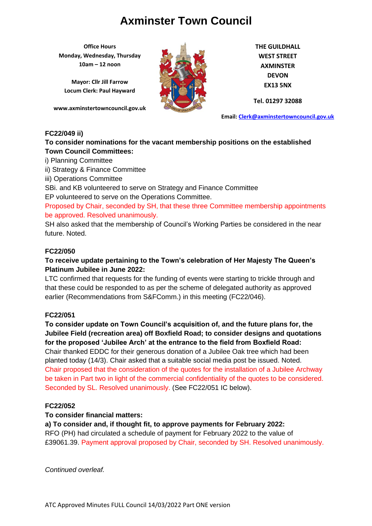**Office Hours Monday, Wednesday, Thursday 10am – 12 noon**

**Mayor: Cllr Jill Farrow Locum Clerk: Paul Hayward**

**www.axminstertowncouncil.gov.uk**



**THE GUILDHALL WEST STREET AXMINSTER DEVON EX13 5NX**

**Tel. 01297 32088**

**Email: [Clerk@axminstertowncouncil.gov.uk](file://///axm-svr-1/company/Templates/Clerk@axminstertowncouncil.gov.uk)**

#### **FC22/049 ii)**

### **To consider nominations for the vacant membership positions on the established Town Council Committees:**

i) Planning Committee

ii) Strategy & Finance Committee

iii) Operations Committee

SBi. and KB volunteered to serve on Strategy and Finance Committee

EP volunteered to serve on the Operations Committee.

Proposed by Chair, seconded by SH, that these three Committee membership appointments be approved. Resolved unanimously.

SH also asked that the membership of Council's Working Parties be considered in the near future. Noted.

#### **FC22/050**

## **To receive update pertaining to the Town's celebration of Her Majesty The Queen's Platinum Jubilee in June 2022:**

LTC confirmed that requests for the funding of events were starting to trickle through and that these could be responded to as per the scheme of delegated authority as approved earlier (Recommendations from S&FComm.) in this meeting (FC22/046).

#### **FC22/051**

**To consider update on Town Council's acquisition of, and the future plans for, the Jubilee Field (recreation area) off Boxfield Road; to consider designs and quotations for the proposed 'Jubilee Arch' at the entrance to the field from Boxfield Road:** Chair thanked EDDC for their generous donation of a Jubilee Oak tree which had been planted today (14/3). Chair asked that a suitable social media post be issued. Noted. Chair proposed that the consideration of the quotes for the installation of a Jubilee Archway be taken in Part two in light of the commercial confidentiality of the quotes to be considered. Seconded by SL. Resolved unanimously. (See FC22/051 IC below).

## **FC22/052**

#### **To consider financial matters:**

#### **a) To consider and, if thought fit, to approve payments for February 2022:** RFO (PH) had circulated a schedule of payment for February 2022 to the value of £39061.39. Payment approval proposed by Chair, seconded by SH. Resolved unanimously.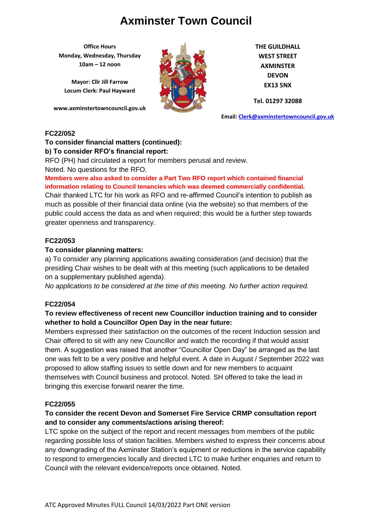**Office Hours Monday, Wednesday, Thursday 10am – 12 noon**

**Mayor: Cllr Jill Farrow Locum Clerk: Paul Hayward**

**www.axminstertowncouncil.gov.uk**



**THE GUILDHALL WEST STREET AXMINSTER DEVON EX13 5NX**

**Tel. 01297 32088**

**Email: [Clerk@axminstertowncouncil.gov.uk](file://///axm-svr-1/company/Templates/Clerk@axminstertowncouncil.gov.uk)**

#### **FC22/052**

#### **To consider financial matters (continued): b) To consider RFO's financial report:**

RFO (PH) had circulated a report for members perusal and review.

Noted. No questions for the RFO.

**TELCE: TO QUESHOTS TOF THE TVE OF**<br>Members were also asked to consider a Part Two RFO report which contained financial **information relating to Council tenancies which was deemed commercially confidential.**

Chair thanked LTC for his work as RFO and re-affirmed Council's intention to publish as much as possible of their financial data online (via the website) so that members of the public could access the data as and when required; this would be a further step towards greater openness and transparency.

### **FC22/053**

#### **To consider planning matters:**

a) To consider any planning applications awaiting consideration (and decision) that the presiding Chair wishes to be dealt with at this meeting (such applications to be detailed on a supplementary published agenda).

*No applications to be considered at the time of this meeting. No further action required.*

#### **FC22/054**

## **To review effectiveness of recent new Councillor induction training and to consider whether to hold a Councillor Open Day in the near future:**

Members expressed their satisfaction on the outcomes of the recent Induction session and Chair offered to sit with any new Councillor and watch the recording if that would assist them. A suggestion was raised that another "Councillor Open Day" be arranged as the last one was felt to be a very positive and helpful event. A date in August / September 2022 was proposed to allow staffing issues to settle down and for new members to acquaint themselves with Council business and protocol. Noted. SH offered to take the lead in bringing this exercise forward nearer the time.

#### **FC22/055**

## **To consider the recent Devon and Somerset Fire Service CRMP consultation report and to consider any comments/actions arising thereof:**

LTC spoke on the subject of the report and recent messages from members of the public regarding possible loss of station facilities. Members wished to express their concerns about any downgrading of the Axminster Station's equipment or reductions in the service capability to respond to emergencies locally and directed LTC to make further enquiries and return to Council with the relevant evidence/reports once obtained. Noted.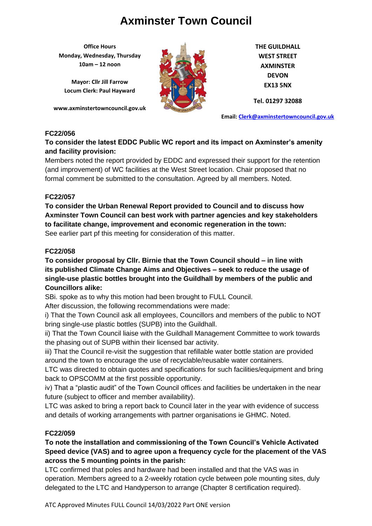**Office Hours Monday, Wednesday, Thursday 10am – 12 noon**

**Mayor: Cllr Jill Farrow Locum Clerk: Paul Hayward**

**www.axminstertowncouncil.gov.uk**



**THE GUILDHALL WEST STREET AXMINSTER DEVON EX13 5NX**

**Tel. 01297 32088**

**Email: [Clerk@axminstertowncouncil.gov.uk](file://///axm-svr-1/company/Templates/Clerk@axminstertowncouncil.gov.uk)**

### **FC22/056**

# **To consider the latest EDDC Public WC report and its impact on Axminster's amenity and facility provision:**

(and improvement) of WC facilities at the West Street location. Chair proposed that no Members noted the report provided by EDDC and expressed their support for the retention formal comment be submitted to the consultation. Agreed by all members. Noted.

## **FC22/057**

**To consider the Urban Renewal Report provided to Council and to discuss how Axminster Town Council can best work with partner agencies and key stakeholders to facilitate change, improvement and economic regeneration in the town:** See earlier part pf this meeting for consideration of this matter.

### **FC22/058**

**To consider proposal by Cllr. Birnie that the Town Council should – in line with its published Climate Change Aims and Objectives – seek to reduce the usage of single-use plastic bottles brought into the Guildhall by members of the public and Councillors alike:**

SBi. spoke as to why this motion had been brought to FULL Council.

After discussion, the following recommendations were made:

i) That the Town Council ask all employees, Councillors and members of the public to NOT bring single-use plastic bottles (SUPB) into the Guildhall.

ii) That the Town Council liaise with the Guildhall Management Committee to work towards the phasing out of SUPB within their licensed bar activity.

iii) That the Council re-visit the suggestion that refillable water bottle station are provided around the town to encourage the use of recyclable/reusable water containers.

LTC was directed to obtain quotes and specifications for such facilities/equipment and bring back to OPSCOMM at the first possible opportunity.

iv) That a "plastic audit" of the Town Council offices and facilities be undertaken in the near future (subject to officer and member availability).

LTC was asked to bring a report back to Council later in the year with evidence of success and details of working arrangements with partner organisations ie GHMC. Noted.

## **FC22/059**

**To note the installation and commissioning of the Town Council's Vehicle Activated Speed device (VAS) and to agree upon a frequency cycle for the placement of the VAS across the 5 mounting points in the parish:**

LTC confirmed that poles and hardware had been installed and that the VAS was in operation. Members agreed to a 2-weekly rotation cycle between pole mounting sites, duly delegated to the LTC and Handyperson to arrange (Chapter 8 certification required).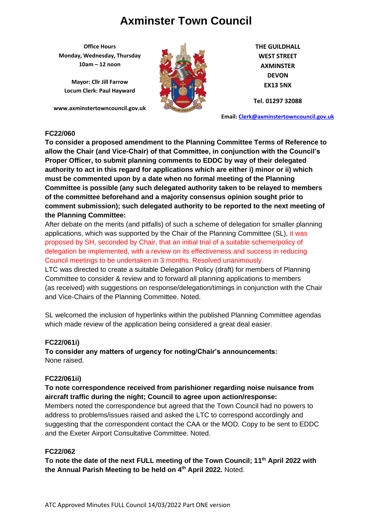**Office Hours Monday, Wednesday, Thursday 10am – 12 noon**

**Mayor: Cllr Jill Farrow Locum Clerk: Paul Hayward**

**www.axminstertowncouncil.gov.uk**



**THE GUILDHALL WEST STREET AXMINSTER DEVON EX13 5NX**

**Tel. 01297 32088**

**Email: [Clerk@axminstertowncouncil.gov.uk](file://///axm-svr-1/company/Templates/Clerk@axminstertowncouncil.gov.uk)**

#### **FC22/060**

authority to act in this regard for applications which are either i) minor or ii) which **To consider a proposed amendment to the Planning Committee Terms of Reference to allow the Chair (and Vice-Chair) of that Committee, in conjunction with the Council's Proper Officer, to submit planning comments to EDDC by way of their delegated must be commented upon by a date when no formal meeting of the Planning Committee is possible (any such delegated authority taken to be relayed to members of the committee beforehand and a majority consensus opinion sought prior to comment submission); such delegated authority to be reported to the next meeting of the Planning Committee:**

After debate on the merits (and pitfalls) of such a scheme of delegation for smaller planning applications, which was supported by the Chair of the Planning Committee (SL), it was proposed by SH, seconded by Chair, that an initial trial of a suitable scheme/policy of delegation be implemented, with a review on its effectiveness and success in reducing Council meetings to be undertaken in 3 months. Resolved unanimously.

LTC was directed to create a suitable Delegation Policy (draft) for members of Planning Committee to consider & review and to forward all planning applications to members (as received) with suggestions on response/delegation/timings in conjunction with the Chair and Vice-Chairs of the Planning Committee. Noted.

SL welcomed the inclusion of hyperlinks within the published Planning Committee agendas which made review of the application being considered a great deal easier.

#### **FC22/061i)**

**To consider any matters of urgency for noting/Chair's announcements:** None raised.

#### **FC22/061ii)**

### **To note correspondence received from parishioner regarding noise nuisance from aircraft traffic during the night; Council to agree upon action/response:**

Members noted the correspondence but agreed that the Town Council had no powers to address to problems/issues raised and asked the LTC to correspond accordingly and suggesting that the correspondent contact the CAA or the MOD. Copy to be sent to EDDC and the Exeter Airport Consultative Committee. Noted.

#### **FC22/062**

**To note the date of the next FULL meeting of the Town Council; 11 th April 2022 with the Annual Parish Meeting to be held on 4th April 2022.** Noted.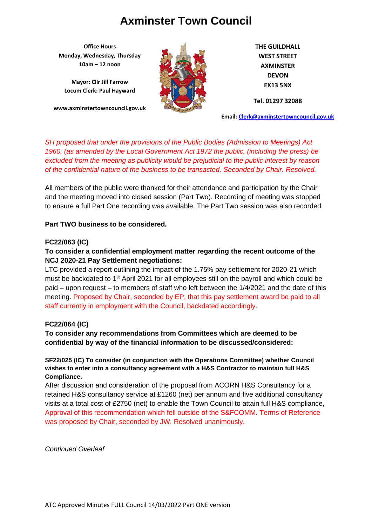**Office Hours Monday, Wednesday, Thursday 10am – 12 noon**

**Mayor: Cllr Jill Farrow Locum Clerk: Paul Hayward**

**www.axminstertowncouncil.gov.uk**



**THE GUILDHALL WEST STREET AXMINSTER DEVON EX13 5NX**

**Tel. 01297 32088**

**Email: [Clerk@axminstertowncouncil.gov.uk](file://///axm-svr-1/company/Templates/Clerk@axminstertowncouncil.gov.uk)**

of the confidential nature of the business to be transacted. Seconded by Chair. Resolved. *SH proposed that under the provisions of the Public Bodies (Admission to Meetings) Act 1960, (as amended by the Local Government Act 1972 the public, (including the press) be excluded from the meeting as publicity would be prejudicial to the public interest by reason*

All members of the public were thanked for their attendance and participation by the Chair and the meeting moved into closed session (Part Two). Recording of meeting was stopped to ensure a full Part One recording was available. The Part Two session was also recorded.

#### **Part TWO business to be considered.**

#### **FC22/063 (IC)**

## **To consider a confidential employment matter regarding the recent outcome of the NCJ 2020-21 Pay Settlement negotiations:**

LTC provided a report outlining the impact of the 1.75% pay settlement for 2020-21 which must be backdated to 1<sup>st</sup> April 2021 for all employees still on the payroll and which could be paid – upon request – to members of staff who left between the 1/4/2021 and the date of this meeting. Proposed by Chair, seconded by EP, that this pay settlement award be paid to all staff currently in employment with the Council, backdated accordingly.

#### **FC22/064 (IC)**

**To consider any recommendations from Committees which are deemed to be confidential by way of the financial information to be discussed/considered:**

**SF22/025 (IC) To consider (in conjunction with the Operations Committee) whether Council wishes to enter into a consultancy agreement with a H&S Contractor to maintain full H&S Compliance.**

After discussion and consideration of the proposal from ACORN H&S Consultancy for a retained H&S consultancy service at £1260 (net) per annum and five additional consultancy visits at a total cost of £2750 (net) to enable the Town Council to attain full H&S compliance, Approval of this recommendation which fell outside of the S&FCOMM. Terms of Reference was proposed by Chair, seconded by JW. Resolved unanimously.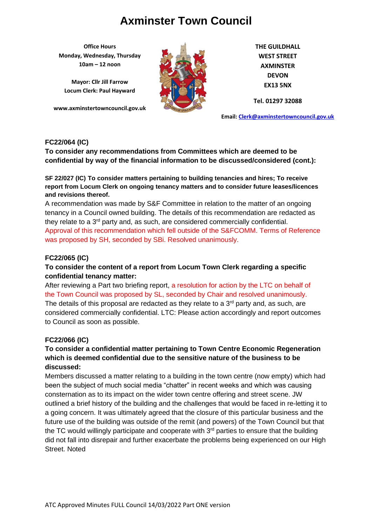**Office Hours Monday, Wednesday, Thursday 10am – 12 noon**

**Mayor: Cllr Jill Farrow Locum Clerk: Paul Hayward**

**www.axminstertowncouncil.gov.uk**



**THE GUILDHALL WEST STREET AXMINSTER DEVON EX13 5NX**

**Tel. 01297 32088**

**Email: [Clerk@axminstertowncouncil.gov.uk](file://///axm-svr-1/company/Templates/Clerk@axminstertowncouncil.gov.uk)**

### **FC22/064 (IC)**

**To consider any recommendations from Committees which are deemed to be confidential by way of the financial information to be discussed/considered (cont.):**

**SF 22/027 (IC) To consider matters pertaining to building tenancies and hires; To receive report from Locum Clerk on ongoing tenancy matters and to consider future leases/licences and revisions thereof.**

A recommendation was made by S&F Committee in relation to the matter of an ongoing tenancy in a Council owned building. The details of this recommendation are redacted as they relate to a 3rd party and, as such, are considered commercially confidential. Approval of this recommendation which fell outside of the S&FCOMM. Terms of Reference was proposed by SH, seconded by SBi. Resolved unanimously.

### **FC22/065 (IC)**

## **To consider the content of a report from Locum Town Clerk regarding a specific confidential tenancy matter:**

After reviewing a Part two briefing report, a resolution for action by the LTC on behalf of the Town Council was proposed by SL, seconded by Chair and resolved unanimously. The details of this proposal are redacted as they relate to a  $3<sup>rd</sup>$  party and, as such, are considered commercially confidential. LTC: Please action accordingly and report outcomes to Council as soon as possible.

#### **FC22/066 (IC)**

## **To consider a confidential matter pertaining to Town Centre Economic Regeneration which is deemed confidential due to the sensitive nature of the business to be discussed:**

Members discussed a matter relating to a building in the town centre (now empty) which had been the subject of much social media "chatter" in recent weeks and which was causing consternation as to its impact on the wider town centre offering and street scene. JW outlined a brief history of the building and the challenges that would be faced in re-letting it to a going concern. It was ultimately agreed that the closure of this particular business and the future use of the building was outside of the remit (and powers) of the Town Council but that the TC would willingly participate and cooperate with  $3<sup>rd</sup>$  parties to ensure that the building did not fall into disrepair and further exacerbate the problems being experienced on our High Street. Noted